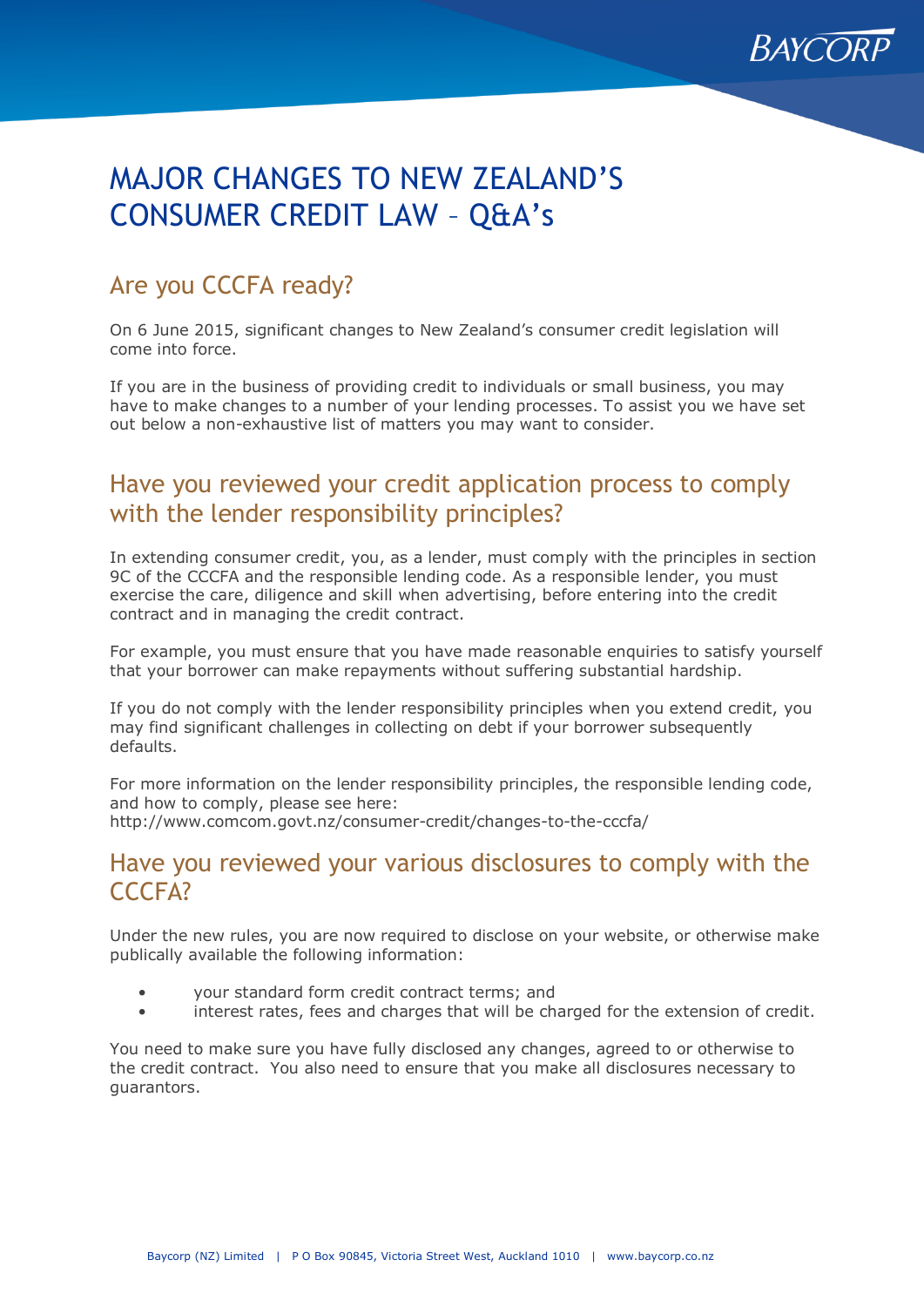

# MAJOR CHANGES TO NEW ZEALAND'S CONSUMER CREDIT LAW – Q&A's

## Are you CCCFA ready?

On 6 June 2015, significant changes to New Zealand's consumer credit legislation will come into force.

If you are in the business of providing credit to individuals or small business, you may have to make changes to a number of your lending processes. To assist you we have set out below a non-exhaustive list of matters you may want to consider.

## Have you reviewed your credit application process to comply with the lender responsibility principles?

In extending consumer credit, you, as a lender, must comply with the principles in section 9C of the CCCFA and the responsible lending code. As a responsible lender, you must exercise the care, diligence and skill when advertising, before entering into the credit contract and in managing the credit contract.

For example, you must ensure that you have made reasonable enquiries to satisfy yourself that your borrower can make repayments without suffering substantial hardship.

If you do not comply with the lender responsibility principles when you extend credit, you may find significant challenges in collecting on debt if your borrower subsequently defaults.

For more information on the lender responsibility principles, the responsible lending code, and how to comply, please see here: http://www.comcom.govt.nz/consumer-credit/changes-to-the-cccfa/

## Have you reviewed your various disclosures to comply with the CCCFA?

Under the new rules, you are now required to disclose on your website, or otherwise make publically available the following information:

- your standard form credit contract terms; and
- interest rates, fees and charges that will be charged for the extension of credit.

You need to make sure you have fully disclosed any changes, agreed to or otherwise to the credit contract. You also need to ensure that you make all disclosures necessary to guarantors.